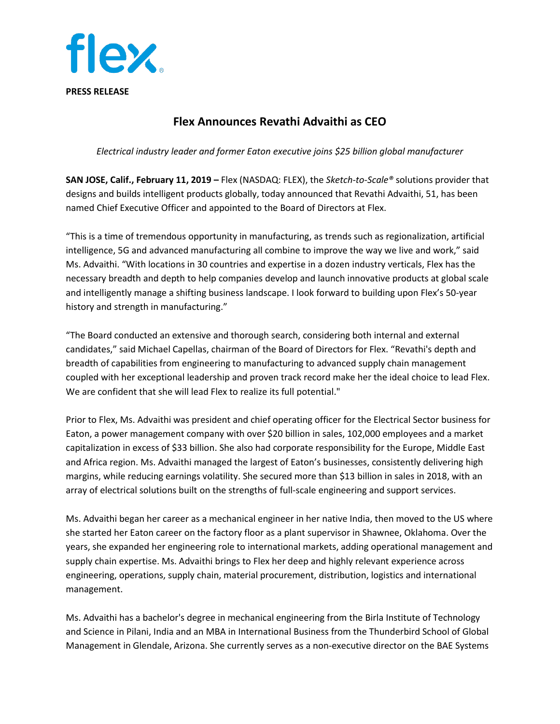

## **Flex Announces Revathi Advaithi as CEO**

*Electrical industry leader and former Eaton executive joins \$25 billion global manufacturer*

**SAN JOSE, Calif., February 11, 2019 –** Flex (NASDAQ: FLEX), the *Sketch-to-Scale®* solutions provider that designs and builds intelligent products globally, today announced that Revathi Advaithi, 51, has been named Chief Executive Officer and appointed to the Board of Directors at Flex.

"This is a time of tremendous opportunity in manufacturing, as trends such as regionalization, artificial intelligence, 5G and advanced manufacturing all combine to improve the way we live and work," said Ms. Advaithi. "With locations in 30 countries and expertise in a dozen industry verticals, Flex has the necessary breadth and depth to help companies develop and launch innovative products at global scale and intelligently manage a shifting business landscape. I look forward to building upon Flex's 50-year history and strength in manufacturing."

"The Board conducted an extensive and thorough search, considering both internal and external candidates," said Michael Capellas, chairman of the Board of Directors for Flex. "Revathi's depth and breadth of capabilities from engineering to manufacturing to advanced supply chain management coupled with her exceptional leadership and proven track record make her the ideal choice to lead Flex. We are confident that she will lead Flex to realize its full potential."

Prior to Flex, Ms. Advaithi was president and chief operating officer for the Electrical Sector business for Eaton, a power management company with over \$20 billion in sales, 102,000 employees and a market capitalization in excess of \$33 billion. She also had corporate responsibility for the Europe, Middle East and Africa region. Ms. Advaithi managed the largest of Eaton's businesses, consistently delivering high margins, while reducing earnings volatility. She secured more than \$13 billion in sales in 2018, with an array of electrical solutions built on the strengths of full-scale engineering and support services.

Ms. Advaithi began her career as a mechanical engineer in her native India, then moved to the US where she started her Eaton career on the factory floor as a plant supervisor in Shawnee, Oklahoma. Over the years, she expanded her engineering role to international markets, adding operational management and supply chain expertise. Ms. Advaithi brings to Flex her deep and highly relevant experience across engineering, operations, supply chain, material procurement, distribution, logistics and international management.

Ms. Advaithi has a bachelor's degree in mechanical engineering from the Birla Institute of Technology and Science in Pilani, India and an MBA in International Business from the Thunderbird School of Global Management in Glendale, Arizona. She currently serves as a non-executive director on the BAE Systems